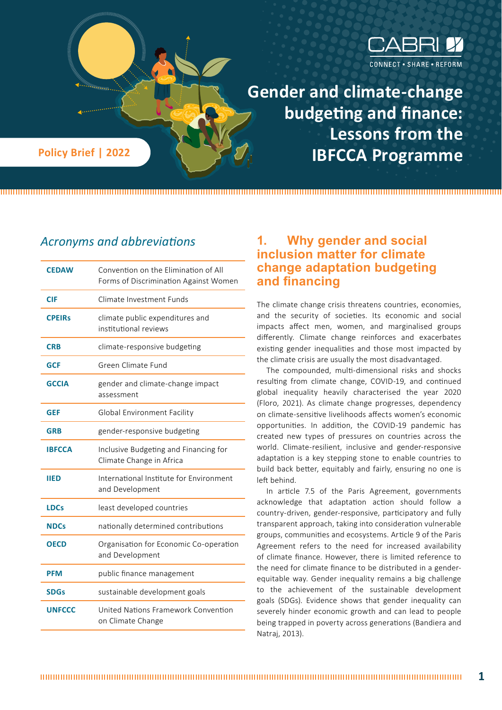

**Gender and climate-change budgeting and finance: Lessons from the Policy Brief | 2022 Canadian Expedition BFCCA Programme** 

# *Acronyms and abbreviations*

| <b>CEDAW</b>  | Convention on the Elimination of All<br>Forms of Discrimination Against Women |  |
|---------------|-------------------------------------------------------------------------------|--|
| CIF           | Climate Investment Funds                                                      |  |
| <b>CPEIRs</b> | climate public expenditures and<br>institutional reviews                      |  |
| <b>CRB</b>    | climate-responsive budgeting                                                  |  |
| <b>GCF</b>    | Green Climate Fund                                                            |  |
| <b>GCCIA</b>  | gender and climate-change impact<br>assessment                                |  |
| <b>GEF</b>    | Global Environment Facility                                                   |  |
| <b>GRB</b>    | gender-responsive budgeting                                                   |  |
| <b>IBFCCA</b> | Inclusive Budgeting and Financing for<br>Climate Change in Africa             |  |
| <b>IIED</b>   | International Institute for Environment<br>and Development                    |  |
| <b>LDCs</b>   | least developed countries                                                     |  |
| <b>NDCs</b>   | nationally determined contributions                                           |  |
| <b>OECD</b>   | Organisation for Economic Co-operation<br>and Development                     |  |
| <b>PFM</b>    | public finance management                                                     |  |
| <b>SDGs</b>   | sustainable development goals                                                 |  |
| <b>UNFCCC</b> | United Nations Framework Convention<br>on Climate Change                      |  |

# **1. Why gender and social inclusion matter for climate change adaptation budgeting and financing**

The climate change crisis threatens countries, economies, and the security of societies. Its economic and social impacts affect men, women, and marginalised groups differently. Climate change reinforces and exacerbates existing gender inequalities and those most impacted by the climate crisis are usually the most disadvantaged.

The compounded, multi-dimensional risks and shocks resulting from climate change, COVID-19, and continued global inequality heavily characterised the year 2020 (Floro, 2021). As climate change progresses, dependency on climate-sensitive livelihoods affects women's economic opportunities. In addition, the COVID-19 pandemic has created new types of pressures on countries across the world. Climate-resilient, inclusive and gender-responsive adaptation is a key stepping stone to enable countries to build back better, equitably and fairly, ensuring no one is left behind.

In article 7.5 of the Paris Agreement, governments acknowledge that adaptation action should follow a country-driven, gender-responsive, participatory and fully transparent approach, taking into consideration vulnerable groups, communities and ecosystems. Article 9 of the Paris Agreement refers to the need for increased availability of climate finance. However, there is limited reference to the need for climate finance to be distributed in a genderequitable way. Gender inequality remains a big challenge to the achievement of the sustainable development goals (SDGs). Evidence shows that gender inequality can severely hinder economic growth and can lead to people being trapped in poverty across generations (Bandiera and Natraj, 2013).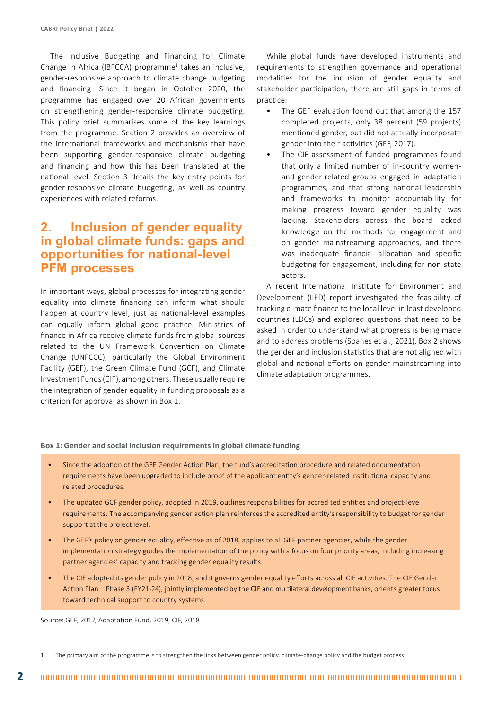The Inclusive Budgeting and Financing for Climate Change in Africa (IBFCCA) programme<sup>1</sup> takes an inclusive, gender-responsive approach to climate change budgeting and financing. Since it began in October 2020, the programme has engaged over 20 African governments on strengthening gender-responsive climate budgeting. This policy brief summarises some of the key learnings from the programme. Section 2 provides an overview of the international frameworks and mechanisms that have been supporting gender-responsive climate budgeting and financing and how this has been translated at the national level. Section 3 details the key entry points for gender-responsive climate budgeting, as well as country experiences with related reforms.

## **2. Inclusion of gender equality in global climate funds: gaps and opportunities for national-level PFM processes**

In important ways, global processes for integrating gender equality into climate financing can inform what should happen at country level, just as national-level examples can equally inform global good practice. Ministries of finance in Africa receive climate funds from global sources related to the UN Framework Convention on Climate Change (UNFCCC), particularly the Global Environment Facility (GEF), the Green Climate Fund (GCF), and Climate Investment Funds (CIF), among others. These usually require the integration of gender equality in funding proposals as a criterion for approval as shown in Box 1.

While global funds have developed instruments and requirements to strengthen governance and operational modalities for the inclusion of gender equality and stakeholder participation, there are still gaps in terms of practice:

- The GEF evaluation found out that among the 157 completed projects, only 38 percent (59 projects) mentioned gender, but did not actually incorporate gender into their activities (GEF, 2017).
- The CIF assessment of funded programmes found that only a limited number of in-country womenand-gender-related groups engaged in adaptation programmes, and that strong national leadership and frameworks to monitor accountability for making progress toward gender equality was lacking. Stakeholders across the board lacked knowledge on the methods for engagement and on gender mainstreaming approaches, and there was inadequate financial allocation and specific budgeting for engagement, including for non-state actors.

A recent International Institute for Environment and Development (IIED) report investigated the feasibility of tracking climate finance to the local level in least developed countries (LDCs) and explored questions that need to be asked in order to understand what progress is being made and to address problems (Soanes et al., 2021). Box 2 shows the gender and inclusion statistics that are not aligned with global and national efforts on gender mainstreaming into climate adaptation programmes.

#### **Box 1: Gender and social inclusion requirements in global climate funding**

- Since the adoption of the GEF Gender Action Plan, the fund's accreditation procedure and related documentation requirements have been upgraded to include proof of the applicant entity's gender-related institutional capacity and related procedures.
- The updated GCF gender policy, adopted in 2019, outlines responsibilities for accredited entities and project-level requirements. The accompanying gender action plan reinforces the accredited entity's responsibility to budget for gender support at the project level.
- The GEF's policy on gender equality, effective as of 2018, applies to all GEF partner agencies, while the gender implementation strategy guides the implementation of the policy with a focus on four priority areas, including increasing partner agencies' capacity and tracking gender equality results.
- The CIF adopted its gender policy in 2018, and it governs gender equality efforts across all CIF activities. The CIF Gender Action Plan – Phase 3 (FY21-24), jointly implemented by the CIF and multilateral development banks, orients greater focus toward technical support to country systems.

Source: GEF, 2017, Adaptation Fund, 2019, CIF, 2018

The primary aim of the programme is to strengthen the links between gender policy, climate-change policy and the budget process.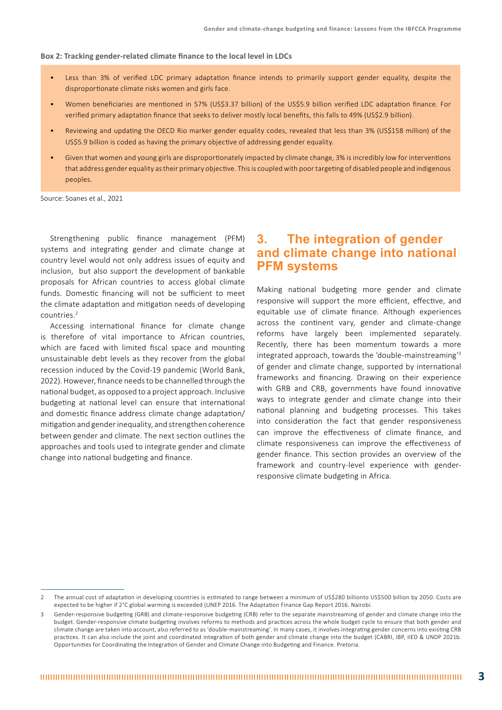#### **Box 2: Tracking gender-related climate finance to the local level in LDCs**

- Less than 3% of verified LDC primary adaptation finance intends to primarily support gender equality, despite the disproportionate climate risks women and girls face.
- Women beneficiaries are mentioned in 57% (US\$3.37 billion) of the US\$5.9 billion verified LDC adaptation finance. For verified primary adaptation finance that seeks to deliver mostly local benefits, this falls to 49% (US\$2.9 billion).
- Reviewing and updating the OECD Rio marker gender equality codes, revealed that less than 3% (US\$158 million) of the US\$5.9 billion is coded as having the primary objective of addressing gender equality.
- Given that women and young girls are disproportionately impacted by climate change, 3% is incredibly low for interventions that address gender equality as their primary objective. This is coupled with poor targeting of disabled people and indigenous peoples.

Source: Soanes et al., 2021

Strengthening public finance management (PFM) systems and integrating gender and climate change at country level would not only address issues of equity and inclusion, but also support the development of bankable proposals for African countries to access global climate funds. Domestic financing will not be sufficient to meet the climate adaptation and mitigation needs of developing countries.2

Accessing international finance for climate change is therefore of vital importance to African countries, which are faced with limited fiscal space and mounting unsustainable debt levels as they recover from the global recession induced by the Covid-19 pandemic (World Bank, 2022). However, finance needs to be channelled through the national budget, as opposed to a project approach. Inclusive budgeting at national level can ensure that international and domestic finance address climate change adaptation/ mitigation and gender inequality, and strengthen coherence between gender and climate. The next section outlines the approaches and tools used to integrate gender and climate change into national budgeting and finance.

## **3. The integration of gender and climate change into national PFM systems**

Making national budgeting more gender and climate responsive will support the more efficient, effective, and equitable use of climate finance. Although experiences across the continent vary, gender and climate-change reforms have largely been implemented separately. Recently, there has been momentum towards a more integrated approach, towards the 'double-mainstreaming'3 of gender and climate change, supported by international frameworks and financing. Drawing on their experience with GRB and CRB, governments have found innovative ways to integrate gender and climate change into their national planning and budgeting processes. This takes into consideration the fact that gender responsiveness can improve the effectiveness of climate finance, and climate responsiveness can improve the effectiveness of gender finance. This section provides an overview of the framework and country-level experience with genderresponsive climate budgeting in Africa.

<sup>2</sup> The annual cost of adaptation in developing countries is estimated to range between a minimum of US\$280 billionto US\$500 billion by 2050. Costs are expected to be higher if 2°C global warming is exceeded (UNEP 2016. The Adaptation Finance Gap Report 2016. Nairobi.

Gender-responsive budgeting (GRB) and climate-responsive budgeting (CRB) refer to the separate mainstreaming of gender and climate change into the budget. Gender-responsive climate budgeting involves reforms to methods and practices across the whole budget cycle to ensure that both gender and climate change are taken into account, also referred to as 'double-mainstreaming'. In many cases, it involves integrating gender concerns into existing CRB practices. It can also include the joint and coordinated integration of both gender and climate change into the budget (CABRI, IBP, IIED & UNDP 2021b. Opportunities for Coordinating the Integration of Gender and Climate Change into Budgeting and Finance. Pretoria.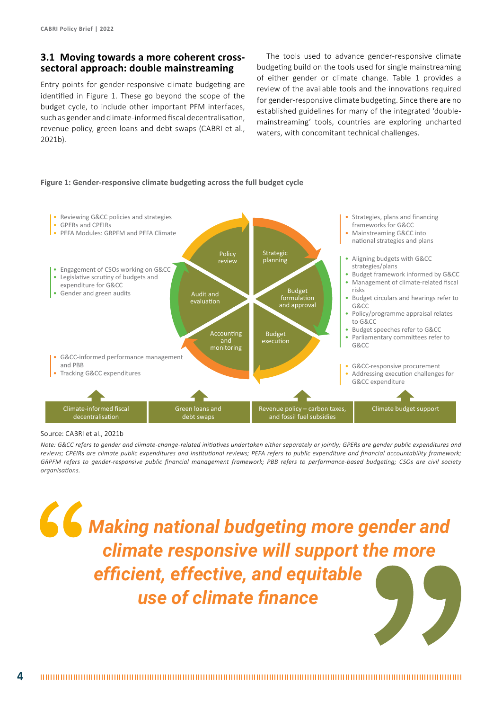## **3.1 Moving towards a more coherent crosssectoral approach: double mainstreaming**

Entry points for gender-responsive climate budgeting are identified in Figure 1. These go beyond the scope of the budget cycle, to include other important PFM interfaces, such as gender and climate-informed fiscal decentralisation, revenue policy, green loans and debt swaps (CABRI et al., 2021b).

The tools used to advance gender-responsive climate budgeting build on the tools used for single mainstreaming of either gender or climate change. Table 1 provides a review of the available tools and the innovations required for gender-responsive climate budgeting. Since there are no established guidelines for many of the integrated 'doublemainstreaming' tools, countries are exploring uncharted waters, with concomitant technical challenges.

#### **Figure 1: Gender-responsive climate budgeting across the full budget cycle**



#### Source: CABRI et al., 2021b

*Note: G&CC refers to gender and climate-change-related initiatives undertaken either separately or jointly; GPERs are gender public expenditures and reviews; CPEIRs are climate public expenditures and institutional reviews; PEFA refers to public expenditure and financial accountability framework; GRPFM refers to gender-responsive public financial management framework; PBB refers to performance-based budgeting; CSOs are civil society organisations.* 

*Making national budgeting more gender and climate responsive will support the more efficient, effective, and equitable use of climate finance*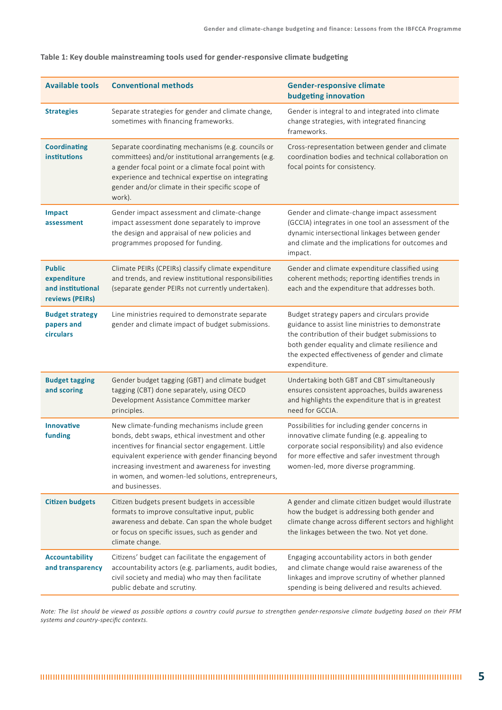| <b>Available tools</b>                                               | <b>Conventional methods</b>                                                                                                                                                                                                                                                                                                              | <b>Gender-responsive climate</b><br>budgeting innovation                                                                                                                                                                                                                    |
|----------------------------------------------------------------------|------------------------------------------------------------------------------------------------------------------------------------------------------------------------------------------------------------------------------------------------------------------------------------------------------------------------------------------|-----------------------------------------------------------------------------------------------------------------------------------------------------------------------------------------------------------------------------------------------------------------------------|
| <b>Strategies</b>                                                    | Separate strategies for gender and climate change,<br>sometimes with financing frameworks.                                                                                                                                                                                                                                               | Gender is integral to and integrated into climate<br>change strategies, with integrated financing<br>frameworks.                                                                                                                                                            |
| <b>Coordinating</b><br><b>institutions</b>                           | Separate coordinating mechanisms (e.g. councils or<br>committees) and/or institutional arrangements (e.g.<br>a gender focal point or a climate focal point with<br>experience and technical expertise on integrating<br>gender and/or climate in their specific scope of<br>work).                                                       | Cross-representation between gender and climate<br>coordination bodies and technical collaboration on<br>focal points for consistency.                                                                                                                                      |
| <b>Impact</b><br>assessment                                          | Gender impact assessment and climate-change<br>impact assessment done separately to improve<br>the design and appraisal of new policies and<br>programmes proposed for funding.                                                                                                                                                          | Gender and climate-change impact assessment<br>(GCCIA) integrates in one tool an assessment of the<br>dynamic intersectional linkages between gender<br>and climate and the implications for outcomes and<br>impact.                                                        |
| <b>Public</b><br>expenditure<br>and institutional<br>reviews (PEIRs) | Climate PEIRs (CPEIRs) classify climate expenditure<br>and trends, and review institutional responsibilities<br>(separate gender PEIRs not currently undertaken).                                                                                                                                                                        | Gender and climate expenditure classified using<br>coherent methods; reporting identifies trends in<br>each and the expenditure that addresses both.                                                                                                                        |
| <b>Budget strategy</b><br>papers and<br><b>circulars</b>             | Line ministries required to demonstrate separate<br>gender and climate impact of budget submissions.                                                                                                                                                                                                                                     | Budget strategy papers and circulars provide<br>guidance to assist line ministries to demonstrate<br>the contribution of their budget submissions to<br>both gender equality and climate resilience and<br>the expected effectiveness of gender and climate<br>expenditure. |
| <b>Budget tagging</b><br>and scoring                                 | Gender budget tagging (GBT) and climate budget<br>tagging (CBT) done separately, using OECD<br>Development Assistance Committee marker<br>principles.                                                                                                                                                                                    | Undertaking both GBT and CBT simultaneously<br>ensures consistent approaches, builds awareness<br>and highlights the expenditure that is in greatest<br>need for GCCIA.                                                                                                     |
| <b>Innovative</b><br>funding                                         | New climate-funding mechanisms include green<br>bonds, debt swaps, ethical investment and other<br>incentives for financial sector engagement. Little<br>equivalent experience with gender financing beyond<br>increasing investment and awareness for investing<br>in women, and women-led solutions, entrepreneurs,<br>and businesses. | Possibilities for including gender concerns in<br>innovative climate funding (e.g. appealing to<br>corporate social responsibility) and also evidence<br>for more effective and safer investment through<br>women-led, more diverse programming.                            |
| <b>Citizen budgets</b>                                               | Citizen budgets present budgets in accessible<br>formats to improve consultative input, public<br>awareness and debate. Can span the whole budget<br>or focus on specific issues, such as gender and<br>climate change.                                                                                                                  | A gender and climate citizen budget would illustrate<br>how the budget is addressing both gender and<br>climate change across different sectors and highlight<br>the linkages between the two. Not yet done.                                                                |
| <b>Accountability</b><br>and transparency                            | Citizens' budget can facilitate the engagement of<br>accountability actors (e.g. parliaments, audit bodies,<br>civil society and media) who may then facilitate<br>public debate and scrutiny.                                                                                                                                           | Engaging accountability actors in both gender<br>and climate change would raise awareness of the<br>linkages and improve scrutiny of whether planned<br>spending is being delivered and results achieved.                                                                   |

#### **Table 1: Key double mainstreaming tools used for gender-responsive climate budgeting**

*Note: The list should be viewed as possible options a country could pursue to strengthen gender-responsive climate budgeting based on their PFM systems and country-specific contexts.*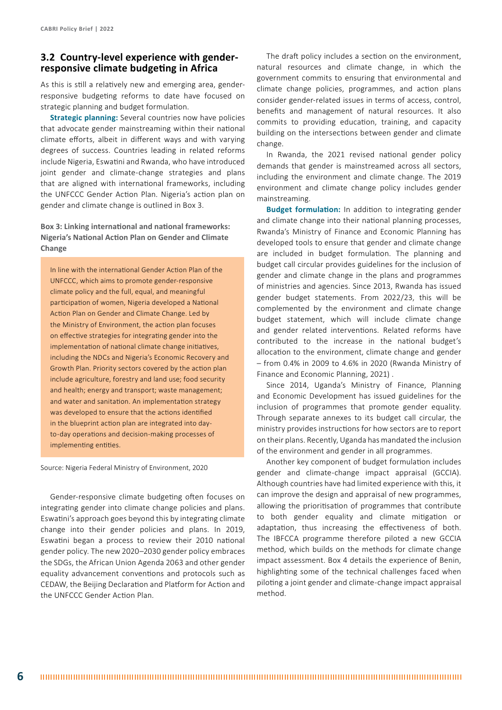### **3.2 Country-level experience with genderresponsive climate budgeting in Africa**

As this is still a relatively new and emerging area, genderresponsive budgeting reforms to date have focused on strategic planning and budget formulation.

**Strategic planning:** Several countries now have policies that advocate gender mainstreaming within their national climate efforts, albeit in different ways and with varying degrees of success. Countries leading in related reforms include Nigeria, Eswatini and Rwanda, who have introduced joint gender and climate-change strategies and plans that are aligned with international frameworks, including the UNFCCC Gender Action Plan. Nigeria's action plan on gender and climate change is outlined in Box 3.

**Box 3: Linking international and national frameworks: Nigeria's National Action Plan on Gender and Climate Change**

In line with the international Gender Action Plan of the UNFCCC, which aims to promote gender-responsive climate policy and the full, equal, and meaningful participation of women, Nigeria developed a National Action Plan on Gender and Climate Change. Led by the Ministry of Environment, the action plan focuses on effective strategies for integrating gender into the implementation of national climate change initiatives, including the NDCs and Nigeria's Economic Recovery and Growth Plan. Priority sectors covered by the action plan include agriculture, forestry and land use; food security and health; energy and transport; waste management; and water and sanitation. An implementation strategy was developed to ensure that the actions identified in the blueprint action plan are integrated into dayto-day operations and decision-making processes of implementing entities.

Source: Nigeria Federal Ministry of Environment, 2020

Gender-responsive climate budgeting often focuses on integrating gender into climate change policies and plans. Eswatini's approach goes beyond this by integrating climate change into their gender policies and plans. In 2019, Eswatini began a process to review their 2010 national gender policy. The new 2020–2030 gender policy embraces the SDGs, the African Union Agenda 2063 and other gender equality advancement conventions and protocols such as CEDAW, the Beijing Declaration and Platform for Action and the UNFCCC Gender Action Plan.

The draft policy includes a section on the environment, natural resources and climate change, in which the government commits to ensuring that environmental and climate change policies, programmes, and action plans consider gender-related issues in terms of access, control, benefits and management of natural resources. It also commits to providing education, training, and capacity building on the intersections between gender and climate change.

In Rwanda, the 2021 revised national gender policy demands that gender is mainstreamed across all sectors, including the environment and climate change. The 2019 environment and climate change policy includes gender mainstreaming.

**Budget formulation:** In addition to integrating gender and climate change into their national planning processes, Rwanda's Ministry of Finance and Economic Planning has developed tools to ensure that gender and climate change are included in budget formulation. The planning and budget call circular provides guidelines for the inclusion of gender and climate change in the plans and programmes of ministries and agencies. Since 2013, Rwanda has issued gender budget statements. From 2022/23, this will be complemented by the environment and climate change budget statement, which will include climate change and gender related interventions. Related reforms have contributed to the increase in the national budget's allocation to the environment, climate change and gender – from 0.4% in 2009 to 4.6% in 2020 (Rwanda Ministry of Finance and Economic Planning, 2021) .

Since 2014, Uganda's Ministry of Finance, Planning and Economic Development has issued guidelines for the inclusion of programmes that promote gender equality. Through separate annexes to its budget call circular, the ministry provides instructions for how sectors are to report on their plans. Recently, Uganda has mandated the inclusion of the environment and gender in all programmes.

Another key component of budget formulation includes gender and climate-change impact appraisal (GCCIA). Although countries have had limited experience with this, it can improve the design and appraisal of new programmes, allowing the prioritisation of programmes that contribute to both gender equality and climate mitigation or adaptation, thus increasing the effectiveness of both. The IBFCCA programme therefore piloted a new GCCIA method, which builds on the methods for climate change impact assessment. Box 4 details the experience of Benin, highlighting some of the technical challenges faced when piloting a joint gender and climate-change impact appraisal method.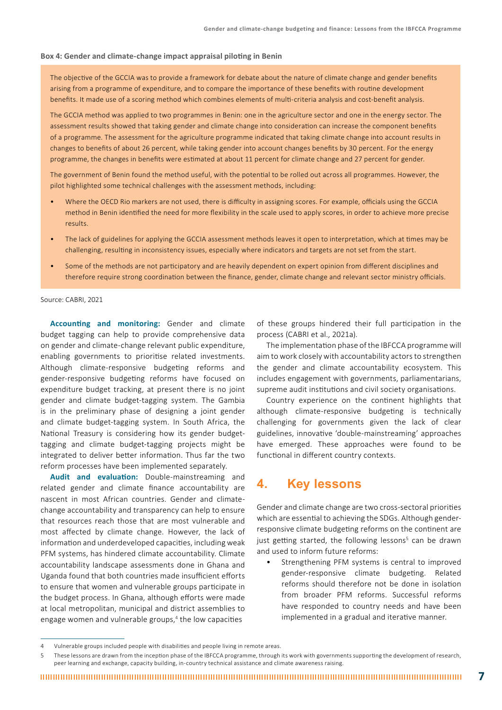#### **Box 4: Gender and climate-change impact appraisal piloting in Benin**

The objective of the GCCIA was to provide a framework for debate about the nature of climate change and gender benefits arising from a programme of expenditure, and to compare the importance of these benefits with routine development benefits. It made use of a scoring method which combines elements of multi-criteria analysis and cost-benefit analysis.

The GCCIA method was applied to two programmes in Benin: one in the agriculture sector and one in the energy sector. The assessment results showed that taking gender and climate change into consideration can increase the component benefits of a programme. The assessment for the agriculture programme indicated that taking climate change into account results in changes to benefits of about 26 percent, while taking gender into account changes benefits by 30 percent. For the energy programme, the changes in benefits were estimated at about 11 percent for climate change and 27 percent for gender.

The government of Benin found the method useful, with the potential to be rolled out across all programmes. However, the pilot highlighted some technical challenges with the assessment methods, including:

- Where the OECD Rio markers are not used, there is difficulty in assigning scores. For example, officials using the GCCIA method in Benin identified the need for more flexibility in the scale used to apply scores, in order to achieve more precise results.
- The lack of guidelines for applying the GCCIA assessment methods leaves it open to interpretation, which at times may be challenging, resulting in inconsistency issues, especially where indicators and targets are not set from the start.
- Some of the methods are not participatory and are heavily dependent on expert opinion from different disciplines and therefore require strong coordination between the finance, gender, climate change and relevant sector ministry officials.

Source: CABRI, 2021

**Accounting and monitoring:** Gender and climate budget tagging can help to provide comprehensive data on gender and climate-change relevant public expenditure, enabling governments to prioritise related investments. Although climate-responsive budgeting reforms and gender-responsive budgeting reforms have focused on expenditure budget tracking, at present there is no joint gender and climate budget-tagging system. The Gambia is in the preliminary phase of designing a joint gender and climate budget-tagging system. In South Africa, the National Treasury is considering how its gender budgettagging and climate budget-tagging projects might be integrated to deliver better information. Thus far the two reform processes have been implemented separately.

**Audit and evaluation:** Double-mainstreaming and related gender and climate finance accountability are nascent in most African countries. Gender and climatechange accountability and transparency can help to ensure that resources reach those that are most vulnerable and most affected by climate change. However, the lack of information and underdeveloped capacities, including weak PFM systems, has hindered climate accountability. Climate accountability landscape assessments done in Ghana and Uganda found that both countries made insufficient efforts to ensure that women and vulnerable groups participate in the budget process. In Ghana, although efforts were made at local metropolitan, municipal and district assemblies to engage women and vulnerable groups,<sup>4</sup> the low capacities

of these groups hindered their full participation in the process (CABRI et al., 2021a).

The implementation phase of the IBFCCA programme will aim to work closely with accountability actors to strengthen the gender and climate accountability ecosystem. This includes engagement with governments, parliamentarians, supreme audit institutions and civil society organisations.

Country experience on the continent highlights that although climate-responsive budgeting is technically challenging for governments given the lack of clear guidelines, innovative 'double-mainstreaming' approaches have emerged. These approaches were found to be functional in different country contexts.

# **4. Key lessons**

Gender and climate change are two cross-sectoral priorities which are essential to achieving the SDGs. Although genderresponsive climate budgeting reforms on the continent are just getting started, the following lessons<sup>5</sup> can be drawn and used to inform future reforms:

Strengthening PFM systems is central to improved gender-responsive climate budgeting. Related reforms should therefore not be done in isolation from broader PFM reforms. Successful reforms have responded to country needs and have been implemented in a gradual and iterative manner.

<sup>4</sup> Vulnerable groups included people with disabilities and people living in remote areas.

These lessons are drawn from the inception phase of the IBFCCA programme, through its work with governments supporting the development of research, peer learning and exchange, capacity building, in-country technical assistance and climate awareness raising.